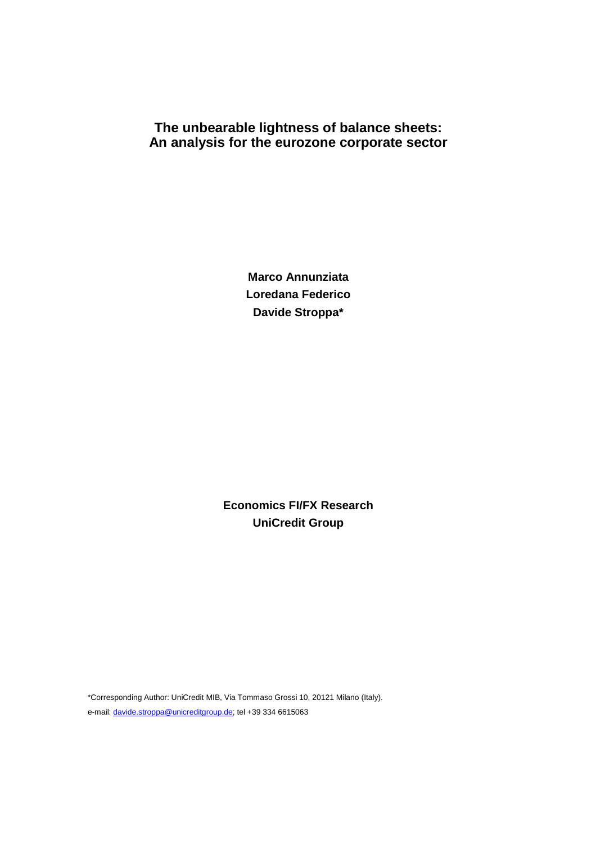# **The unbearable lightness of balance sheets: An analysis for the eurozone corporate sector**

**Marco Annunziata Loredana Federico Davide Stroppa\*** 

**Economics FI/FX Research UniCredit Group** 

\*Corresponding Author: UniCredit MIB, Via Tommaso Grossi 10, 20121 Milano (Italy). e-mail: davide.stroppa@unicreditgroup.de; tel +39 334 6615063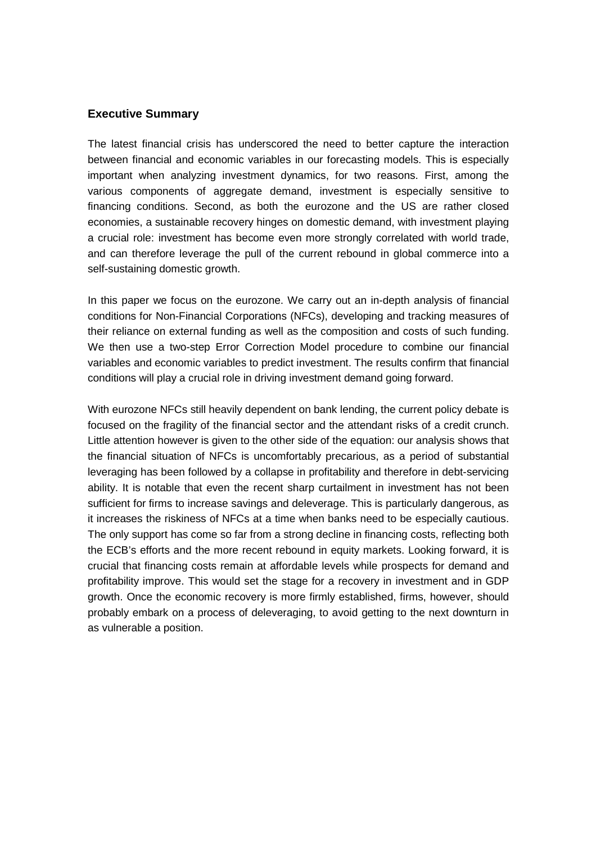### **Executive Summary**

The latest financial crisis has underscored the need to better capture the interaction between financial and economic variables in our forecasting models. This is especially important when analyzing investment dynamics, for two reasons. First, among the various components of aggregate demand, investment is especially sensitive to financing conditions. Second, as both the eurozone and the US are rather closed economies, a sustainable recovery hinges on domestic demand, with investment playing a crucial role: investment has become even more strongly correlated with world trade, and can therefore leverage the pull of the current rebound in global commerce into a self-sustaining domestic growth.

In this paper we focus on the eurozone. We carry out an in-depth analysis of financial conditions for Non-Financial Corporations (NFCs), developing and tracking measures of their reliance on external funding as well as the composition and costs of such funding. We then use a two-step Error Correction Model procedure to combine our financial variables and economic variables to predict investment. The results confirm that financial conditions will play a crucial role in driving investment demand going forward.

With eurozone NFCs still heavily dependent on bank lending, the current policy debate is focused on the fragility of the financial sector and the attendant risks of a credit crunch. Little attention however is given to the other side of the equation: our analysis shows that the financial situation of NFCs is uncomfortably precarious, as a period of substantial leveraging has been followed by a collapse in profitability and therefore in debt-servicing ability. It is notable that even the recent sharp curtailment in investment has not been sufficient for firms to increase savings and deleverage. This is particularly dangerous, as it increases the riskiness of NFCs at a time when banks need to be especially cautious. The only support has come so far from a strong decline in financing costs, reflecting both the ECB's efforts and the more recent rebound in equity markets. Looking forward, it is crucial that financing costs remain at affordable levels while prospects for demand and profitability improve. This would set the stage for a recovery in investment and in GDP growth. Once the economic recovery is more firmly established, firms, however, should probably embark on a process of deleveraging, to avoid getting to the next downturn in as vulnerable a position.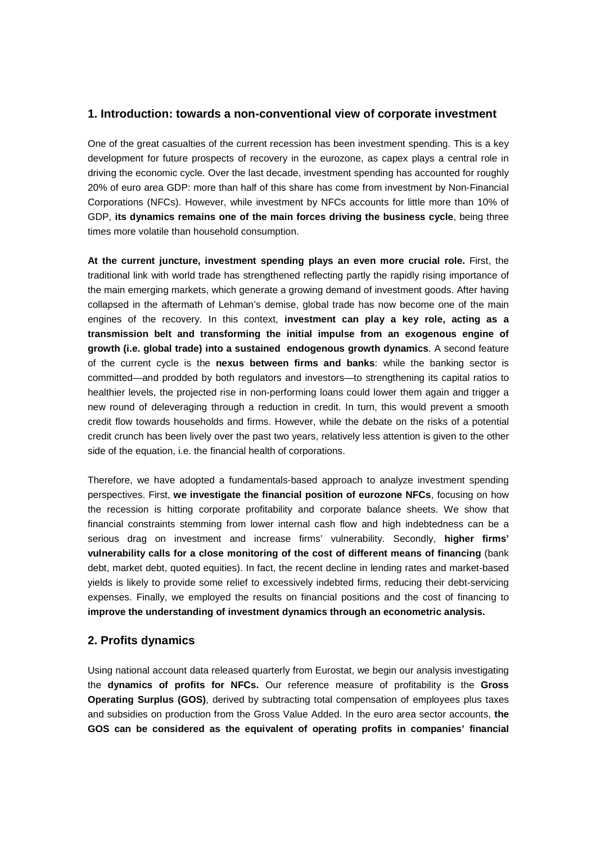### **1. Introduction: towards a non-conventional view of corporate investment**

One of the great casualties of the current recession has been investment spending. This is a key development for future prospects of recovery in the eurozone, as capex plays a central role in driving the economic cycle. Over the last decade, investment spending has accounted for roughly 20% of euro area GDP: more than half of this share has come from investment by Non-Financial Corporations (NFCs). However, while investment by NFCs accounts for little more than 10% of GDP, **its dynamics remains one of the main forces driving the business cycle**, being three times more volatile than household consumption.

**At the current juncture, investment spending plays an even more crucial role.** First, the traditional link with world trade has strengthened reflecting partly the rapidly rising importance of the main emerging markets, which generate a growing demand of investment goods. After having collapsed in the aftermath of Lehman's demise, global trade has now become one of the main engines of the recovery. In this context, **investment can play a key role, acting as a transmission belt and transforming the initial impulse from an exogenous engine of growth (i.e. global trade) into a sustained endogenous growth dynamics**. A second feature of the current cycle is the **nexus between firms and banks**: while the banking sector is committed—and prodded by both regulators and investors—to strengthening its capital ratios to healthier levels, the projected rise in non-performing loans could lower them again and trigger a new round of deleveraging through a reduction in credit. In turn, this would prevent a smooth credit flow towards households and firms. However, while the debate on the risks of a potential credit crunch has been lively over the past two years, relatively less attention is given to the other side of the equation, i.e. the financial health of corporations.

Therefore, we have adopted a fundamentals-based approach to analyze investment spending perspectives. First, **we investigate the financial position of eurozone NFCs**, focusing on how the recession is hitting corporate profitability and corporate balance sheets. We show that financial constraints stemming from lower internal cash flow and high indebtedness can be a serious drag on investment and increase firms' vulnerability. Secondly, **higher firms' vulnerability calls for a close monitoring of the cost of different means of financing** (bank debt, market debt, quoted equities). In fact, the recent decline in lending rates and market-based yields is likely to provide some relief to excessively indebted firms, reducing their debt-servicing expenses. Finally, we employed the results on financial positions and the cost of financing to **improve the understanding of investment dynamics through an econometric analysis.**

### **2. Profits dynamics**

Using national account data released quarterly from Eurostat, we begin our analysis investigating the **dynamics of profits for NFCs.** Our reference measure of profitability is the **Gross Operating Surplus (GOS)**, derived by subtracting total compensation of employees plus taxes and subsidies on production from the Gross Value Added. In the euro area sector accounts, **the GOS can be considered as the equivalent of operating profits in companies' financial**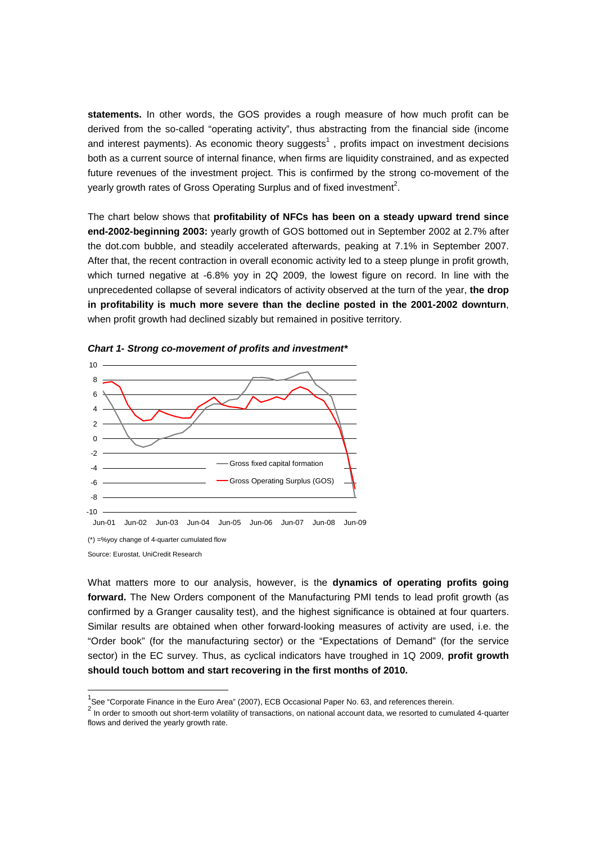**statements.** In other words, the GOS provides a rough measure of how much profit can be derived from the so-called "operating activity", thus abstracting from the financial side (income and interest payments). As economic theory suggests<sup>1</sup>, profits impact on investment decisions both as a current source of internal finance, when firms are liquidity constrained, and as expected future revenues of the investment project. This is confirmed by the strong co-movement of the yearly growth rates of Gross Operating Surplus and of fixed investment<sup>2</sup>.

The chart below shows that **profitability of NFCs has been on a steady upward trend since end-2002-beginning 2003:** yearly growth of GOS bottomed out in September 2002 at 2.7% after the dot.com bubble, and steadily accelerated afterwards, peaking at 7.1% in September 2007. After that, the recent contraction in overall economic activity led to a steep plunge in profit growth, which turned negative at -6.8% yoy in 2Q 2009, the lowest figure on record. In line with the unprecedented collapse of several indicators of activity observed at the turn of the year, **the drop in profitability is much more severe than the decline posted in the 2001-2002 downturn**, when profit growth had declined sizably but remained in positive territory.



**Chart 1- Strong co-movement of profits and investment\*** 

-

What matters more to our analysis, however, is the **dynamics of operating profits going forward.** The New Orders component of the Manufacturing PMI tends to lead profit growth (as confirmed by a Granger causality test), and the highest significance is obtained at four quarters. Similar results are obtained when other forward-looking measures of activity are used, i.e. the "Order book" (for the manufacturing sector) or the "Expectations of Demand" (for the service sector) in the EC survey. Thus, as cyclical indicators have troughed in 1Q 2009, **profit growth should touch bottom and start recovering in the first months of 2010.** 

Source: Eurostat, UniCredit Research

<sup>&</sup>lt;sup>1</sup>See "Corporate Finance in the Euro Area" (2007), ECB Occasional Paper No. 63, and references therein.

<sup>2</sup> In order to smooth out short-term volatility of transactions, on national account data, we resorted to cumulated 4-quarter flows and derived the yearly growth rate.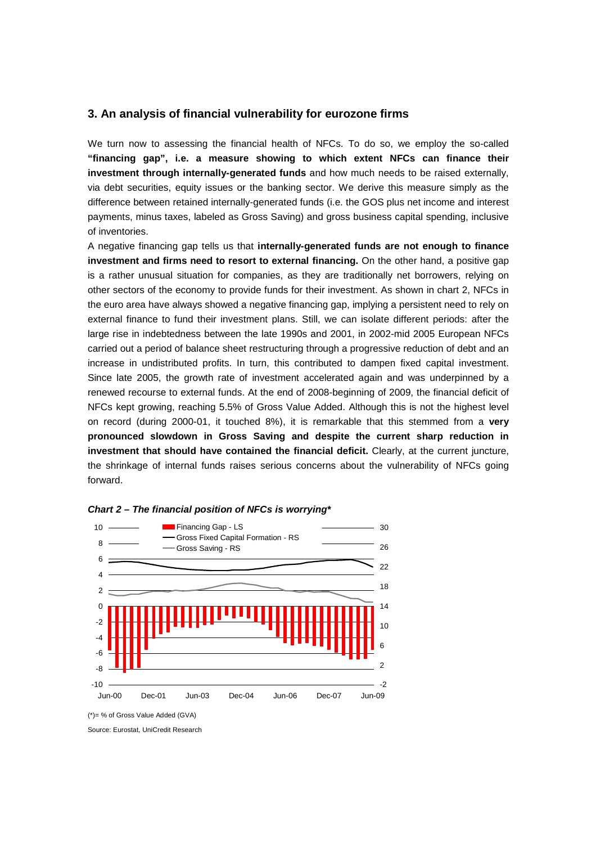### **3. An analysis of financial vulnerability for eurozone firms**

We turn now to assessing the financial health of NFCs. To do so, we employ the so-called **"financing gap", i.e. a measure showing to which extent NFCs can finance their investment through internally-generated funds** and how much needs to be raised externally, via debt securities, equity issues or the banking sector. We derive this measure simply as the difference between retained internally-generated funds (i.e. the GOS plus net income and interest payments, minus taxes, labeled as Gross Saving) and gross business capital spending, inclusive of inventories.

A negative financing gap tells us that **internally-generated funds are not enough to finance investment and firms need to resort to external financing.** On the other hand, a positive gap is a rather unusual situation for companies, as they are traditionally net borrowers, relying on other sectors of the economy to provide funds for their investment. As shown in chart 2, NFCs in the euro area have always showed a negative financing gap, implying a persistent need to rely on external finance to fund their investment plans. Still, we can isolate different periods: after the large rise in indebtedness between the late 1990s and 2001, in 2002-mid 2005 European NFCs carried out a period of balance sheet restructuring through a progressive reduction of debt and an increase in undistributed profits. In turn, this contributed to dampen fixed capital investment. Since late 2005, the growth rate of investment accelerated again and was underpinned by a renewed recourse to external funds. At the end of 2008-beginning of 2009, the financial deficit of NFCs kept growing, reaching 5.5% of Gross Value Added. Although this is not the highest level on record (during 2000-01, it touched 8%), it is remarkable that this stemmed from a **very pronounced slowdown in Gross Saving and despite the current sharp reduction in investment that should have contained the financial deficit.** Clearly, at the current juncture, the shrinkage of internal funds raises serious concerns about the vulnerability of NFCs going forward.





(\*)= % of Gross Value Added (GVA)

Source: Eurostat, UniCredit Research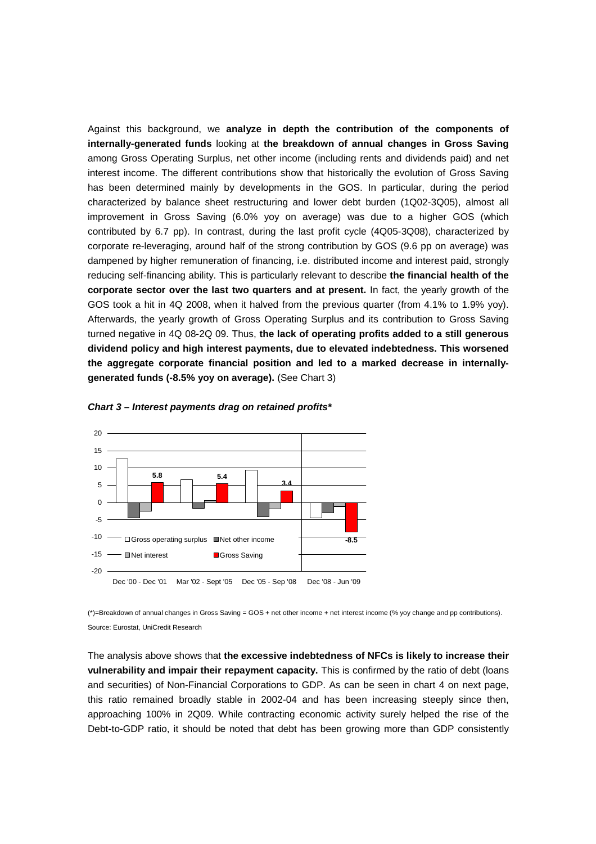Against this background, we **analyze in depth the contribution of the components of internally-generated funds** looking at **the breakdown of annual changes in Gross Saving** among Gross Operating Surplus, net other income (including rents and dividends paid) and net interest income. The different contributions show that historically the evolution of Gross Saving has been determined mainly by developments in the GOS. In particular, during the period characterized by balance sheet restructuring and lower debt burden (1Q02-3Q05), almost all improvement in Gross Saving (6.0% yoy on average) was due to a higher GOS (which contributed by 6.7 pp). In contrast, during the last profit cycle (4Q05-3Q08), characterized by corporate re-leveraging, around half of the strong contribution by GOS (9.6 pp on average) was dampened by higher remuneration of financing, i.e. distributed income and interest paid, strongly reducing self-financing ability. This is particularly relevant to describe **the financial health of the corporate sector over the last two quarters and at present.** In fact, the yearly growth of the GOS took a hit in 4Q 2008, when it halved from the previous quarter (from 4.1% to 1.9% yoy). Afterwards, the yearly growth of Gross Operating Surplus and its contribution to Gross Saving turned negative in 4Q 08-2Q 09. Thus, **the lack of operating profits added to a still generous dividend policy and high interest payments, due to elevated indebtedness. This worsened the aggregate corporate financial position and led to a marked decrease in internallygenerated funds (-8.5% yoy on average).** (See Chart 3)





(\*)=Breakdown of annual changes in Gross Saving = GOS + net other income + net interest income (% yoy change and pp contributions). Source: Eurostat, UniCredit Research

The analysis above shows that **the excessive indebtedness of NFCs is likely to increase their vulnerability and impair their repayment capacity.** This is confirmed by the ratio of debt (loans and securities) of Non-Financial Corporations to GDP. As can be seen in chart 4 on next page, this ratio remained broadly stable in 2002-04 and has been increasing steeply since then, approaching 100% in 2Q09. While contracting economic activity surely helped the rise of the Debt-to-GDP ratio, it should be noted that debt has been growing more than GDP consistently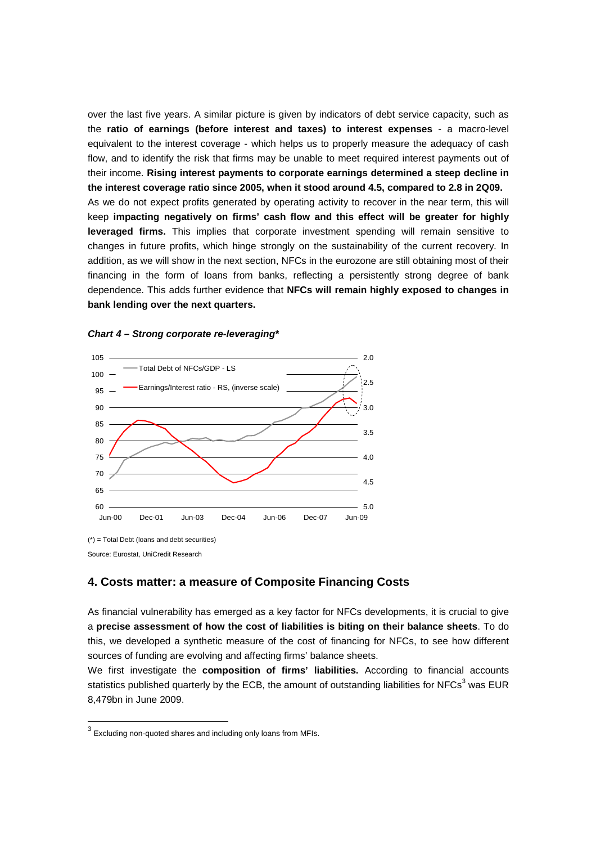over the last five years. A similar picture is given by indicators of debt service capacity, such as the **ratio of earnings (before interest and taxes) to interest expenses** - a macro-level equivalent to the interest coverage - which helps us to properly measure the adequacy of cash flow, and to identify the risk that firms may be unable to meet required interest payments out of their income. **Rising interest payments to corporate earnings determined a steep decline in the interest coverage ratio since 2005, when it stood around 4.5, compared to 2.8 in 2Q09.** As we do not expect profits generated by operating activity to recover in the near term, this will keep **impacting negatively on firms' cash flow and this effect will be greater for highly leveraged firms.** This implies that corporate investment spending will remain sensitive to changes in future profits, which hinge strongly on the sustainability of the current recovery. In addition, as we will show in the next section, NFCs in the eurozone are still obtaining most of their financing in the form of loans from banks, reflecting a persistently strong degree of bank dependence. This adds further evidence that **NFCs will remain highly exposed to changes in bank lending over the next quarters.** 







### **4. Costs matter: a measure of Composite Financing Costs**

As financial vulnerability has emerged as a key factor for NFCs developments, it is crucial to give a **precise assessment of how the cost of liabilities is biting on their balance sheets**. To do this, we developed a synthetic measure of the cost of financing for NFCs, to see how different sources of funding are evolving and affecting firms' balance sheets.

We first investigate the **composition of firms' liabilities.** According to financial accounts statistics published quarterly by the ECB, the amount of outstanding liabilities for NFCs<sup>3</sup> was EUR 8,479bn in June 2009.

 3 Excluding non-quoted shares and including only loans from MFIs.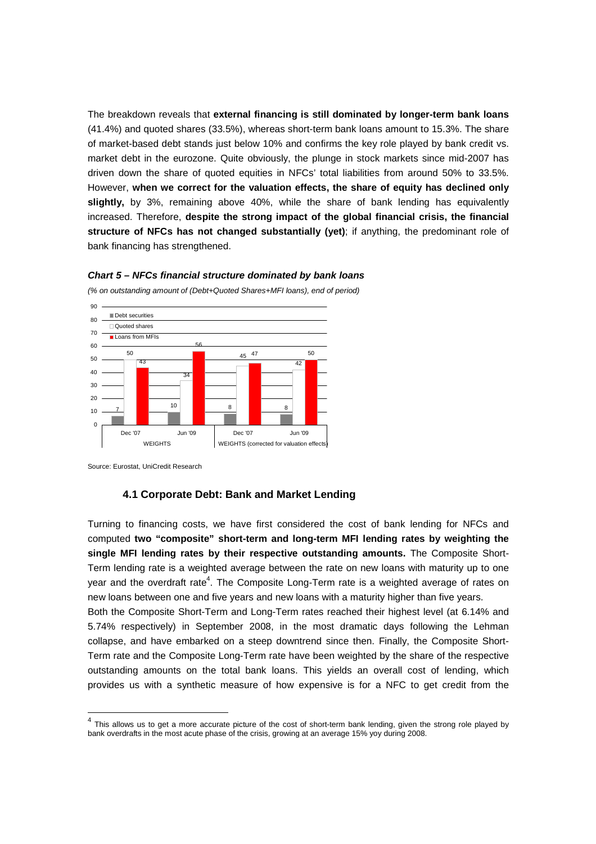The breakdown reveals that **external financing is still dominated by longer-term bank loans** (41.4%) and quoted shares (33.5%), whereas short-term bank loans amount to 15.3%. The share of market-based debt stands just below 10% and confirms the key role played by bank credit vs. market debt in the eurozone. Quite obviously, the plunge in stock markets since mid-2007 has driven down the share of quoted equities in NFCs' total liabilities from around 50% to 33.5%. However, **when we correct for the valuation effects, the share of equity has declined only slightly,** by 3%, remaining above 40%, while the share of bank lending has equivalently increased. Therefore, **despite the strong impact of the global financial crisis, the financial structure of NFCs has not changed substantially (yet)**; if anything, the predominant role of bank financing has strengthened.



**Chart 5 – NFCs financial structure dominated by bank loans** 

Source: Eurostat, UniCredit Research

#### **4.1 Corporate Debt: Bank and Market Lending**

Turning to financing costs, we have first considered the cost of bank lending for NFCs and computed **two "composite" short-term and long-term MFI lending rates by weighting the single MFI lending rates by their respective outstanding amounts.** The Composite Short-Term lending rate is a weighted average between the rate on new loans with maturity up to one year and the overdraft rate<sup>4</sup>. The Composite Long-Term rate is a weighted average of rates on new loans between one and five years and new loans with a maturity higher than five years.

Both the Composite Short-Term and Long-Term rates reached their highest level (at 6.14% and 5.74% respectively) in September 2008, in the most dramatic days following the Lehman collapse, and have embarked on a steep downtrend since then. Finally, the Composite Short-Term rate and the Composite Long-Term rate have been weighted by the share of the respective outstanding amounts on the total bank loans. This yields an overall cost of lending, which provides us with a synthetic measure of how expensive is for a NFC to get credit from the

 4 This allows us to get a more accurate picture of the cost of short-term bank lending, given the strong role played by bank overdrafts in the most acute phase of the crisis, growing at an average 15% yoy during 2008.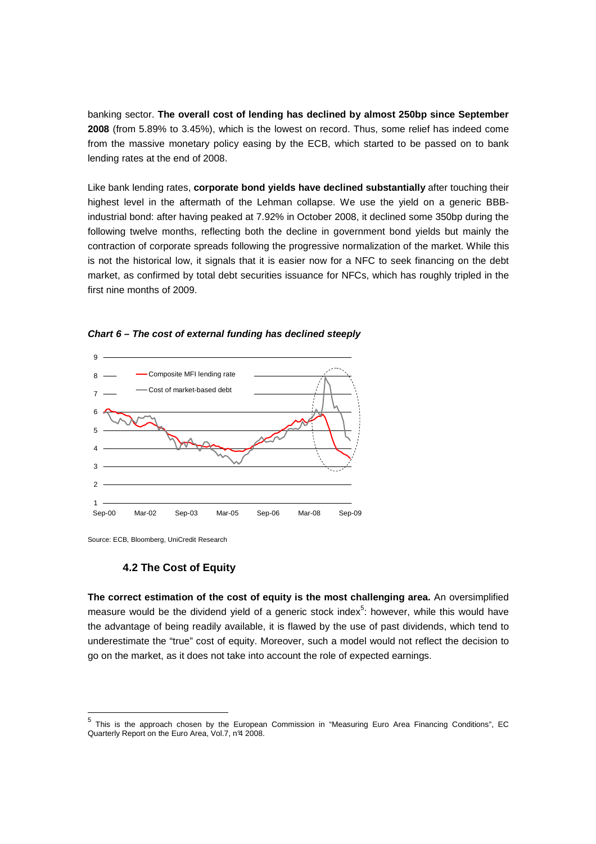banking sector. **The overall cost of lending has declined by almost 250bp since September 2008** (from 5.89% to 3.45%), which is the lowest on record. Thus, some relief has indeed come from the massive monetary policy easing by the ECB, which started to be passed on to bank lending rates at the end of 2008.

Like bank lending rates, **corporate bond yields have declined substantially** after touching their highest level in the aftermath of the Lehman collapse. We use the yield on a generic BBBindustrial bond: after having peaked at 7.92% in October 2008, it declined some 350bp during the following twelve months, reflecting both the decline in government bond yields but mainly the contraction of corporate spreads following the progressive normalization of the market. While this is not the historical low, it signals that it is easier now for a NFC to seek financing on the debt market, as confirmed by total debt securities issuance for NFCs, which has roughly tripled in the first nine months of 2009.



**Chart 6 – The cost of external funding has declined steeply** 

#### **4.2 The Cost of Equity**

**The correct estimation of the cost of equity is the most challenging area.** An oversimplified measure would be the dividend yield of a generic stock index $5$ : however, while this would have the advantage of being readily available, it is flawed by the use of past dividends, which tend to underestimate the "true" cost of equity. Moreover, such a model would not reflect the decision to go on the market, as it does not take into account the role of expected earnings.

Source: ECB, Bloomberg, UniCredit Research

 5 This is the approach chosen by the European Commission in "Measuring Euro Area Financing Conditions", EC Quarterly Report on the Euro Area, Vol.7, nº4 2008.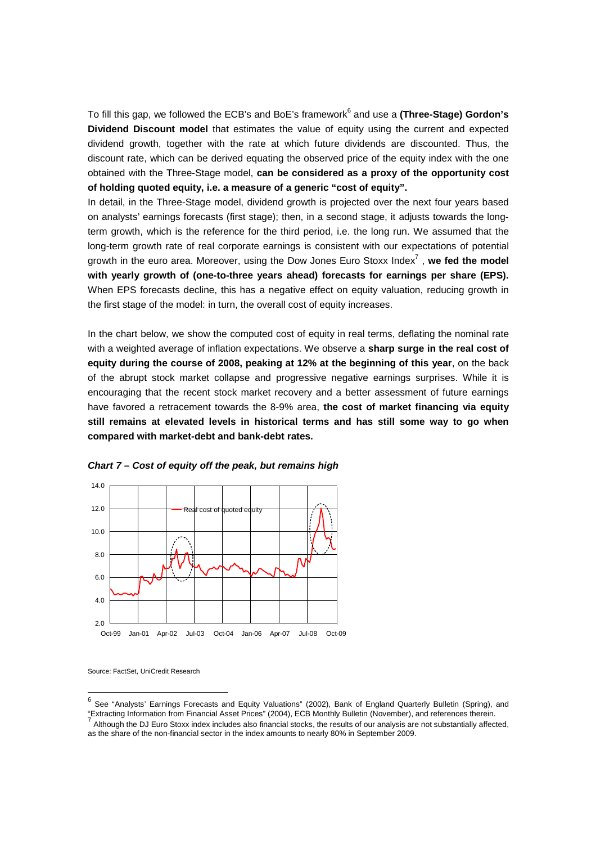To fill this gap, we followed the ECB's and BoE's framework<sup>6</sup> and use a **(Three-Stage) Gordon's Dividend Discount model** that estimates the value of equity using the current and expected dividend growth, together with the rate at which future dividends are discounted. Thus, the discount rate, which can be derived equating the observed price of the equity index with the one obtained with the Three-Stage model, **can be considered as a proxy of the opportunity cost of holding quoted equity, i.e. a measure of a generic "cost of equity".** 

In detail, in the Three-Stage model, dividend growth is projected over the next four years based on analysts' earnings forecasts (first stage); then, in a second stage, it adjusts towards the longterm growth, which is the reference for the third period, i.e. the long run. We assumed that the long-term growth rate of real corporate earnings is consistent with our expectations of potential growth in the euro area. Moreover, using the Dow Jones Euro Stoxx Index<sup>7</sup>, we fed the model **with yearly growth of (one-to-three years ahead) forecasts for earnings per share (EPS).** When EPS forecasts decline, this has a negative effect on equity valuation, reducing growth in the first stage of the model: in turn, the overall cost of equity increases.

In the chart below, we show the computed cost of equity in real terms, deflating the nominal rate with a weighted average of inflation expectations. We observe a **sharp surge in the real cost of equity during the course of 2008, peaking at 12% at the beginning of this year**, on the back of the abrupt stock market collapse and progressive negative earnings surprises. While it is encouraging that the recent stock market recovery and a better assessment of future earnings have favored a retracement towards the 8-9% area, **the cost of market financing via equity still remains at elevated levels in historical terms and has still some way to go when compared with market-debt and bank-debt rates.** 





Source: FactSet, UniCredit Research

 6 See "Analysts' Earnings Forecasts and Equity Valuations" (2002), Bank of England Quarterly Bulletin (Spring), and "Extracting Information from Financial Asset Prices" (2004), ECB Monthly Bulletin (November), and references therein. 7

Although the DJ Euro Stoxx index includes also financial stocks, the results of our analysis are not substantially affected, as the share of the non-financial sector in the index amounts to nearly 80% in September 2009.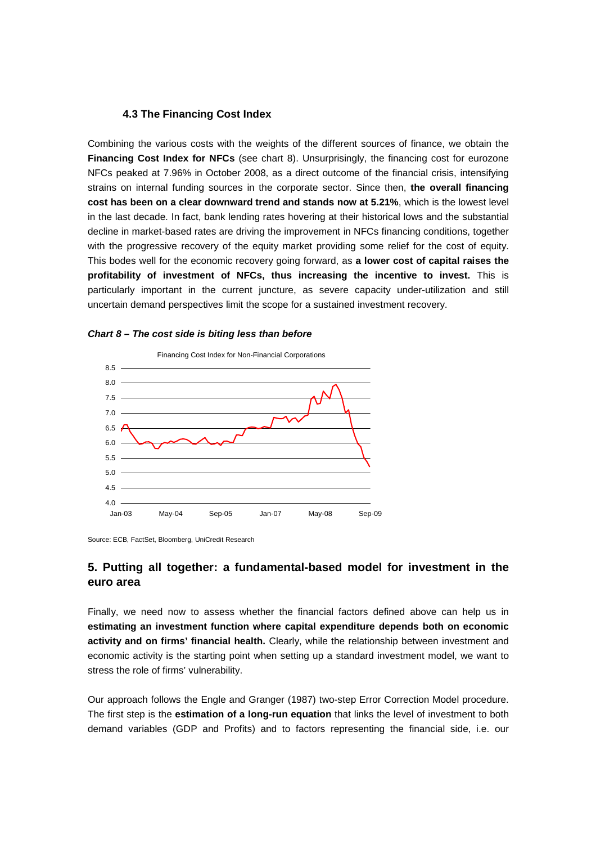### **4.3 The Financing Cost Index**

Combining the various costs with the weights of the different sources of finance, we obtain the **Financing Cost Index for NFCs** (see chart 8). Unsurprisingly, the financing cost for eurozone NFCs peaked at 7.96% in October 2008, as a direct outcome of the financial crisis, intensifying strains on internal funding sources in the corporate sector. Since then, **the overall financing cost has been on a clear downward trend and stands now at 5.21%**, which is the lowest level in the last decade. In fact, bank lending rates hovering at their historical lows and the substantial decline in market-based rates are driving the improvement in NFCs financing conditions, together with the progressive recovery of the equity market providing some relief for the cost of equity. This bodes well for the economic recovery going forward, as **a lower cost of capital raises the profitability of investment of NFCs, thus increasing the incentive to invest.** This is particularly important in the current juncture, as severe capacity under-utilization and still uncertain demand perspectives limit the scope for a sustained investment recovery.





Source: ECB, FactSet, Bloomberg, UniCredit Research

## **5. Putting all together: a fundamental-based model for investment in the euro area**

Finally, we need now to assess whether the financial factors defined above can help us in **estimating an investment function where capital expenditure depends both on economic activity and on firms' financial health.** Clearly, while the relationship between investment and economic activity is the starting point when setting up a standard investment model, we want to stress the role of firms' vulnerability.

Our approach follows the Engle and Granger (1987) two-step Error Correction Model procedure. The first step is the **estimation of a long-run equation** that links the level of investment to both demand variables (GDP and Profits) and to factors representing the financial side, i.e. our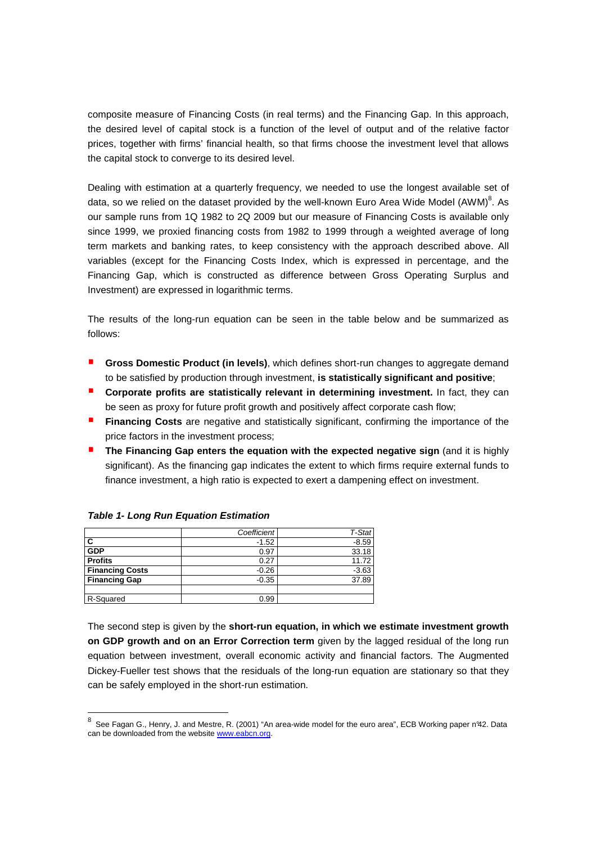composite measure of Financing Costs (in real terms) and the Financing Gap. In this approach, the desired level of capital stock is a function of the level of output and of the relative factor prices, together with firms' financial health, so that firms choose the investment level that allows the capital stock to converge to its desired level.

Dealing with estimation at a quarterly frequency, we needed to use the longest available set of data, so we relied on the dataset provided by the well-known Euro Area Wide Model (AWM)<sup>8</sup>. As our sample runs from 1Q 1982 to 2Q 2009 but our measure of Financing Costs is available only since 1999, we proxied financing costs from 1982 to 1999 through a weighted average of long term markets and banking rates, to keep consistency with the approach described above. All variables (except for the Financing Costs Index, which is expressed in percentage, and the Financing Gap, which is constructed as difference between Gross Operating Surplus and Investment) are expressed in logarithmic terms.

The results of the long-run equation can be seen in the table below and be summarized as follows:

- **Gross Domestic Product (in levels)**, which defines short-run changes to aggregate demand to be satisfied by production through investment, **is statistically significant and positive**;
- **Corporate profits are statistically relevant in determining investment.** In fact, they can be seen as proxy for future profit growth and positively affect corporate cash flow;
- **Financing Costs** are negative and statistically significant, confirming the importance of the price factors in the investment process;
- **The Financing Gap enters the equation with the expected negative sign (and it is highly** significant). As the financing gap indicates the extent to which firms require external funds to finance investment, a high ratio is expected to exert a dampening effect on investment.

|                        | Coefficient | T-Stat  |
|------------------------|-------------|---------|
|                        | $-1.52$     | $-8.59$ |
| GDP                    | 0.97        | 33.18   |
| <b>Profits</b>         | 0.27        | 11.72   |
| <b>Financing Costs</b> | $-0.26$     | $-3.63$ |
| <b>Financing Gap</b>   | $-0.35$     | 37.89   |
|                        |             |         |
| R-Squared              | 0.99        |         |

#### **Table 1- Long Run Equation Estimation**

The second step is given by the **short-run equation, in which we estimate investment growth on GDP growth and on an Error Correction term** given by the lagged residual of the long run equation between investment, overall economic activity and financial factors. The Augmented Dickey-Fueller test shows that the residuals of the long-run equation are stationary so that they can be safely employed in the short-run estimation.

 8 See Fagan G., Henry, J. and Mestre, R. (2001) "An area-wide model for the euro area", ECB Working paper n°42. Data can be downloaded from the website www.eabcn.org.